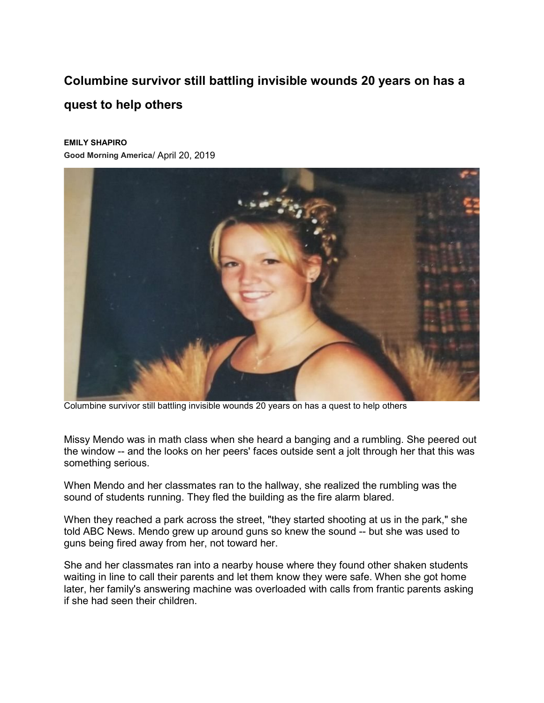## **Columbine survivor still battling invisible wounds 20 years on has a quest to help others**

## **EMILY SHAPIRO**

**[Good Morning America](https://gma.yahoo.com/)**/ April 20, 2019



Columbine survivor still battling invisible wounds 20 years on has a quest to help others

Missy Mendo was in math class when she heard a banging and a rumbling. She peered out the window -- and the looks on her peers' faces outside sent a jolt through her that [this was](https://abcnews.go.com/US/columbine-principal-reflects-worst-nightmare-19-years-shooting/story?id=54540073)  [something serious.](https://abcnews.go.com/US/columbine-principal-reflects-worst-nightmare-19-years-shooting/story?id=54540073)

When Mendo and her classmates ran to the hallway, she realized the rumbling was the sound of students running. [They fled the building](https://abcnews.go.com/US/suicides-highlight-mass-shooting-survivors-trauma-fragility-healing/story?id=61948838) as the fire alarm blared.

When they [reached a park across the street,](https://abcnews.go.com/US/19-years-school-shooting-columbine-students-join-nationwide/story?id=53706426) "they started shooting at us in the park," she told ABC News. Mendo grew up around guns so knew the sound -- but she was used to guns being fired away from her, not toward her.

She and her classmates ran into a nearby house where they found other shaken students waiting in line to call their parents and let them know they were safe. When she got home later, her family's answering machine was overloaded with calls from frantic parents asking if she had seen their children.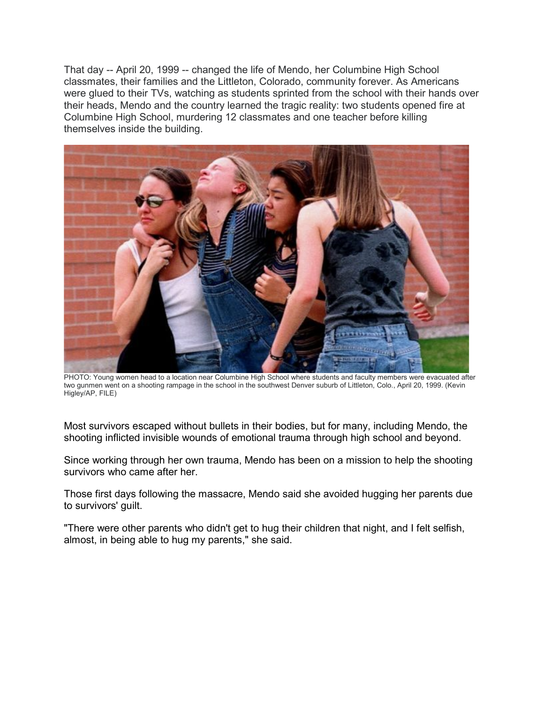That day -- April 20, 1999 -- changed the life of Mendo, her Columbine High School classmates, their families and the Littleton, Colorado, community forever. As Americans were glued to their TVs, watching as students sprinted from the school with their hands over their heads, Mendo and the country learned the tragic reality: two students opened fire at Columbine High School, murdering 12 classmates and one teacher before killing themselves inside the building.



PHOTO: Young women head to a location near Columbine High School where students and faculty members were evacuated after two gunmen went on a shooting rampage in the school in the southwest Denver suburb of Littleton, Colo., April 20, 1999. (Kevin Higley/AP, FILE)

Most survivors escaped without bullets in their bodies, but for many, including Mendo, the shooting inflicted invisible wounds of emotional trauma through high school and beyond.

Since working through her own trauma, Mendo has been on a mission to help the shooting survivors who came after her.

Those first days following the massacre, Mendo said she avoided hugging her parents due to survivors' guilt.

"There were other parents who didn't get to hug their children that night, and I felt selfish, almost, in being able to hug my parents," she said.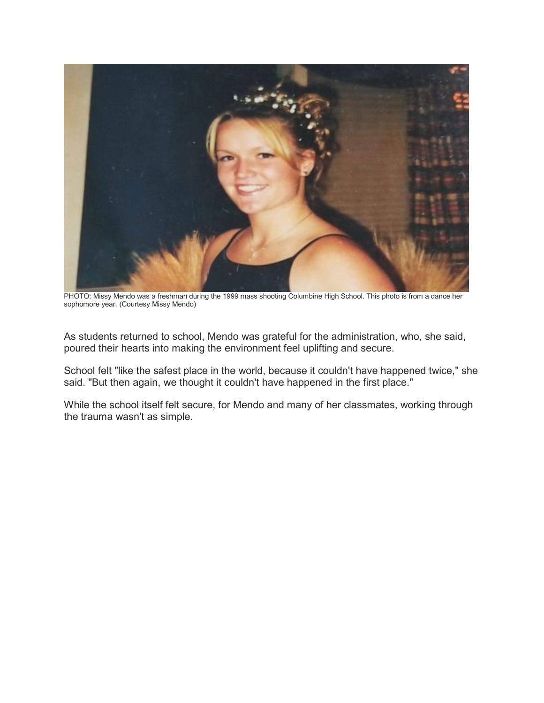

PHOTO: Missy Mendo was a freshman during the 1999 mass shooting Columbine High School. This photo is from a dance her sophomore year. (Courtesy Missy Mendo)

As students returned to school, Mendo was grateful for the administration, who, she said, poured their hearts into making the environment feel uplifting and secure.

School felt "like the safest place in the world, because it couldn't have happened twice," she said. "But then again, we thought it couldn't have happened in the first place."

While the school itself felt secure, for Mendo and many of her classmates, working through the trauma wasn't as simple.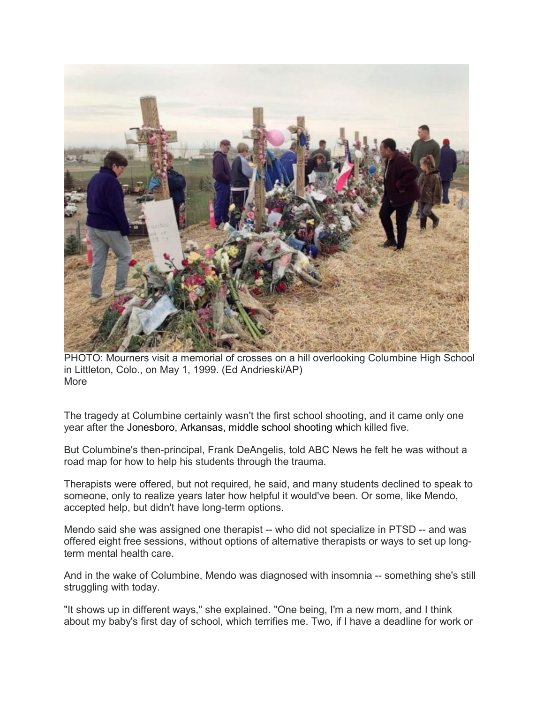

PHOTO: Mourners visit a memorial of crosses on a hill overlooking Columbine High School in Littleton, Colo., on May 1, 1999. (Ed Andrieski/AP) More

The tragedy at Columbine certainly wasn't the first school shooting, and it came only one year after the [Jonesboro, Arkansas, middle school shooting](https://abcnews.go.com/US/living-us-mass-school-shooters-incarcerated/story?id=36986507) which killed five.

But Columbine's then-principal, Frank DeAngelis, told ABC News he felt he was without a road map for how to help his students through the trauma.

Therapists were offered, but not required, he said, and many students declined to speak to someone, only to realize years later how helpful it would've been. Or some, like Mendo, accepted help, but didn't have long-term options.

Mendo said she was assigned one therapist -- who did not specialize in PTSD -- and was offered eight free sessions, without options of alternative therapists or ways to set up longterm mental health care.

And in the wake of Columbine, Mendo was diagnosed with insomnia -- something she's still struggling with today.

"It shows up in different ways," she explained. "One being, I'm a new mom, and I think about my baby's first day of school, which terrifies me. Two, if I have a deadline for work or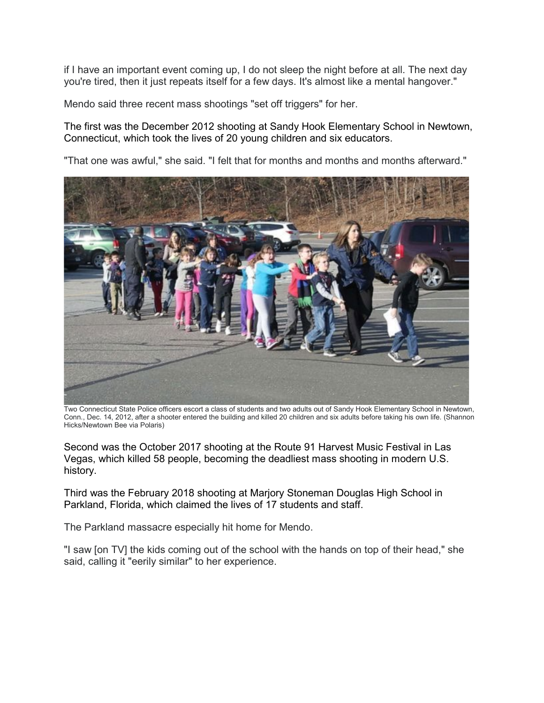if I have an important event coming up, I do not sleep the night before at all. The next day you're tired, then it just repeats itself for a few days. It's almost like a mental hangover."

Mendo said three recent mass shootings "set off triggers" for her.

The first was the December 2012 shooting at [Sandy Hook Elementary School in Newtown,](https://abcnews.go.com/GMA/News/sandy-hook-mom-reflect-incredibly-raw-grief-ahead/story?id=59678101)  [Connecticut,](https://abcnews.go.com/GMA/News/sandy-hook-mom-reflect-incredibly-raw-grief-ahead/story?id=59678101) which took the lives of 20 young children and six educators.

"That one was awful," she said. "I felt that for months and months and months afterward."



Two Connecticut State Police officers escort a class of students and two adults out of Sandy Hook Elementary School in Newtown, Conn., Dec. 14, 2012, after a shooter entered the building and killed 20 children and six adults before taking his own life. (Shannon Hicks/Newtown Bee via Polaris)

Second was the October 2017 shooting [at the Route 91 Harvest Music Festival in Las](https://abcnews.go.com/US/las-vegas-shooting-mother-father-dead/story?id=50229707)  [Vegas,](https://abcnews.go.com/US/las-vegas-shooting-mother-father-dead/story?id=50229707) which killed 58 people, becoming the deadliest mass shooting in modern U.S. history.

Third was the February 2018 shooting [at Marjory Stoneman Douglas High School in](https://abcnews.go.com/US/teacher-coach14-year-freshman-florida-high-school-massacre/story?id=53092879)  [Parkland, Florida,](https://abcnews.go.com/US/teacher-coach14-year-freshman-florida-high-school-massacre/story?id=53092879) which claimed the lives of 17 students and staff.

The Parkland massacre especially hit home for Mendo.

"I saw [on TV] the kids coming out of the school with the hands on top of their head," she said, calling it "eerily similar" to her experience.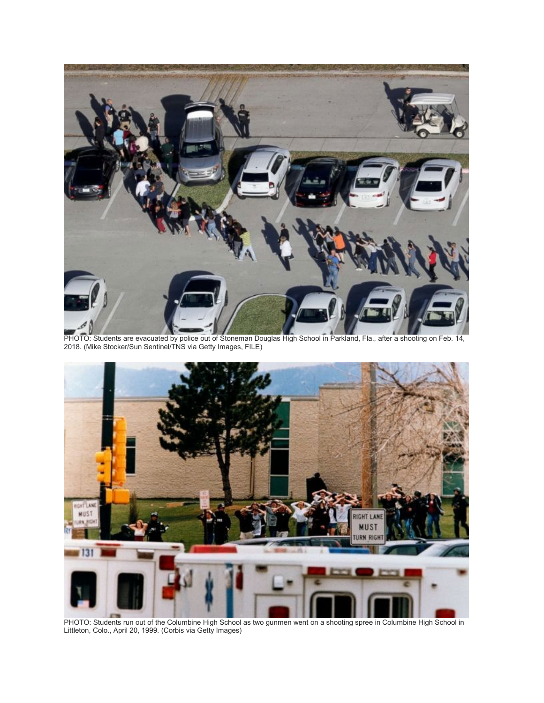

PHOTO: Students are evacuated by police out of Stoneman Douglas High School in Parkland, Fla., after a shooting on Feb. 14, 2018. (Mike Stocker/Sun Sentinel/TNS via Getty Images, FILE)



PHOTO: Students run out of the Columbine High School as two gunmen went on a shooting spree in Columbine High School in Littleton, Colo., April 20, 1999. (Corbis via Getty Images)